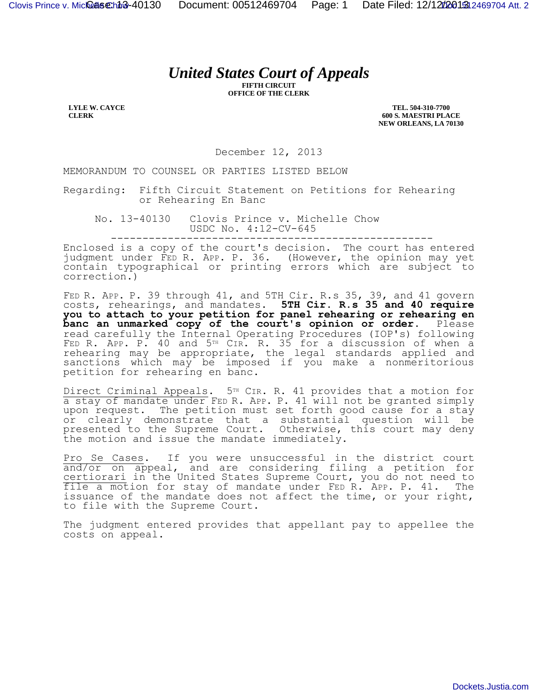## *United States Court of Appeals*

**FIFTH CIRCUIT OFFICE OF THE CLERK**

**LYLE W. CAYCE CLERK**

**TEL. 504-310-7700 600 S. MAESTRI PLACE NEW ORLEANS, LA 70130**

December 12, 2013

MEMORANDUM TO COUNSEL OR PARTIES LISTED BELOW

Regarding: Fifth Circuit Statement on Petitions for Rehearing or Rehearing En Banc

No. 13-40130 Clovis Prince v. Michelle Chow USDC No. 4:12-CV-645 ---------------------------------------------------

Enclosed is a copy of the court's decision. The court has entered judgment under FED R. APP. P. 36. (However, the opinion may yet contain typographical or printing errors which are subject to correction.)

FED R. APP. P. 39 through 41, and 5TH Cir. R.s 35, 39, and 41 govern costs, rehearings, and mandates. **5TH Cir. R.s 35 and 40 require you to attach to your petition for panel rehearing or rehearing en banc an unmarked copy of the court's opinion or order.** Please read carefully the Internal Operating Procedures (IOP's) following FED R. APP. P. 40 and 5TH CIR. R. 35 for a discussion of when a rehearing may be appropriate, the legal standards applied and sanctions which may be imposed if you make a nonmeritorious petition for rehearing en banc.

Direct Criminal Appeals. 5<sup>TH</sup> CIR. R. 41 provides that a motion for a stay of mandate under FED R. APP. P. 41 will not be granted simply upon request. The petition must set forth good cause for a stay or clearly demonstrate that a substantial question will be presented to the Supreme Court. Otherwise, this court may deny the motion and issue the mandate immediately.

Pro Se Cases. If you were unsuccessful in the district court and/or on appeal, and are considering filing a petition for certiorari in the United States Supreme Court, you do not need to file a motion for stay of mandate under FED R. APP. P. 41. The issuance of the mandate does not affect the time, or your right, to file with the Supreme Court.

The judgment entered provides that appellant pay to appellee the costs on appeal.